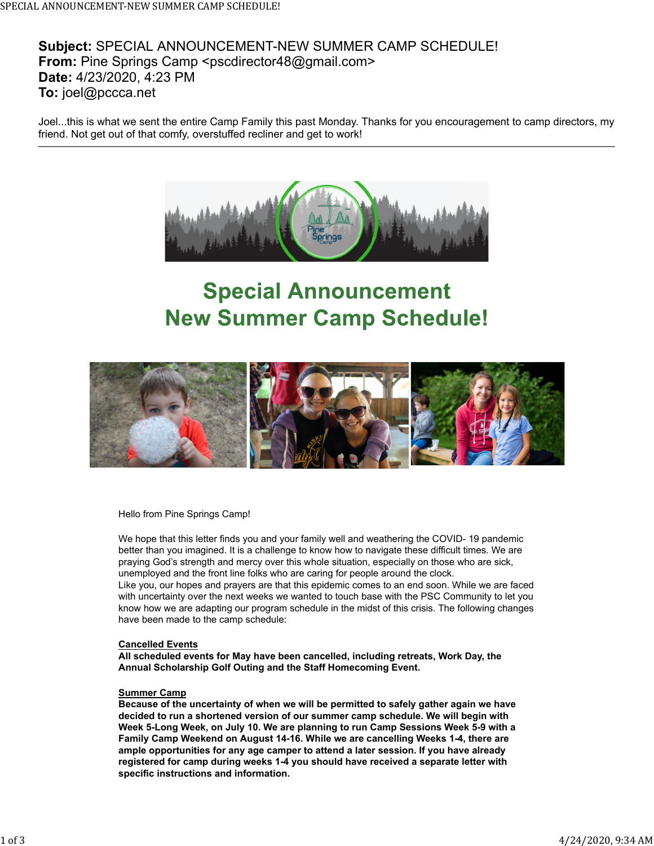

## **Special Announcement New Summer Camp Schedule!**



Hello from Pine Springs Camp!

We hope that this letter finds you and your family well and weathering the COVID- 19 pandemic better than you imagined. It is a challenge to know how to navigate these difficult times. We are praying God's strength and mercy over this whole situation, especially on those who are sick, unemployed and the front line folks who are caring for people around the clock.

Like you, our hopes and prayers are that this epidemic comes to an end soon. While we are faced with uncertainty over the next weeks we wanted to touch base with the PSC Community to let you know how we are adapting our program schedule in the midst of this crisis. The following changes have been made to the camp schedule:

## **Cancelled Events**

**All scheduled events for May have been cancelled, including retreats, Work Day, the Annual Scholarship Golf Outing and the Staff Homecoming Event.**

## **Summer Camp**

**Because of the uncertainty of when we will be permitted to safely gather again we have decided to run a shortened version of our summer camp schedule. We will begin with Week 5-Long Week, on July 10. We are planning to run Camp Sessions Week 5-9 with a Family Camp Weekend on August 14-16. While we are cancelling Weeks 1-4, there are ample opportunities for any age camper to attend a later session. If you have already registered for camp during weeks 1-4 you should have received a separate letter with specific instructions and information.**